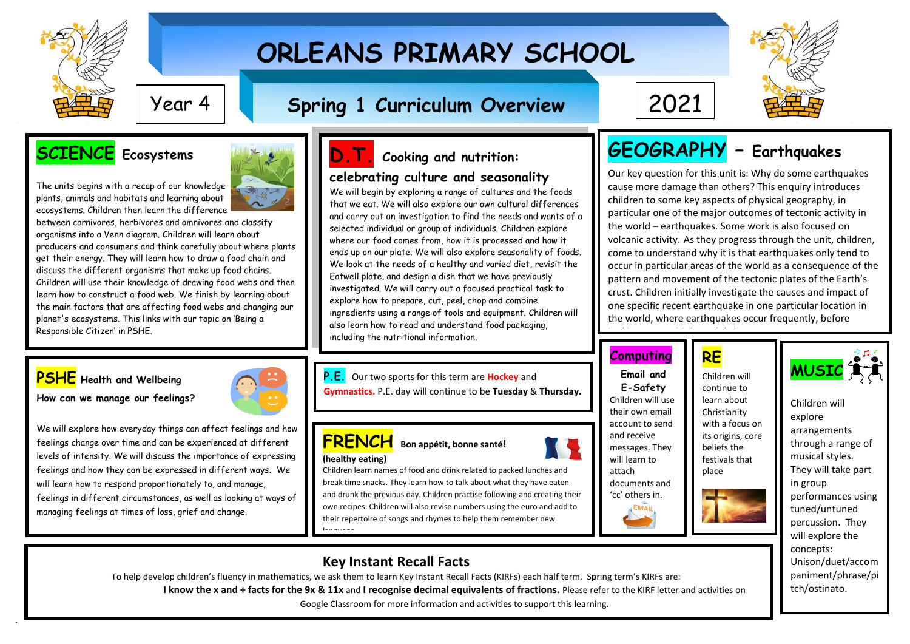

.

# **ORLEANS PRIMARY SCHOOL**

## **Spring 1 Curriculum Overview** Year 4 2021

## **SCIENCE Ecosystems**

**PSHE Health and Wellbeing How can we manage our feelings?**

The units begins with a recap of our knowledge plants, animals and habitats and learning about ecosystems. Children then learn the difference

between carnivores, herbivores and omnivores and classify organisms into a Venn diagram. Children will learn about producers and consumers and think carefully about where plants get their energy. They will learn how to draw a food chain and discuss the different organisms that make up food chains. Children will use their knowledge of drawing food webs and then learn how to construct a food web. We finish by learning about the main factors that are affecting food webs and changing our planet's ecosystems. This links with our topic on 'Being a Responsible Citizen' in PSHE.

We will explore how everyday things can affect feelings and how feelings change over time and can be experienced at different levels of intensity. We will discuss the importance of expressing feelings and how they can be expressed in different ways. We will learn how to respond proportionately to, and manage, feelings in different circumstances, as well as looking at ways of

managing feelings at times of loss, grief and change.



## **D.T. Cooking and nutrition: celebrating culture and seasonality**

We will begin by exploring a range of cultures and the foods that we eat. We will also explore our own cultural differences and carry out an investigation to find the needs and wants of a selected individual or group of individuals. Children explore where our food comes from, how it is processed and how it ends up on our plate. We will also explore seasonality of foods. We look at the needs of a healthy and varied diet, revisit the Eatwell plate, and design a dish that we have previously investigated. We will carry out a focused practical task to explore how to prepare, cut, peel, chop and combine ingredients using a range of tools and equipment. Children will also learn how to read and understand food packaging, including the nutritional information.

 **P.E.** Our two sports for this term are **Hockey** and **Gymnastics.** P.E. day will continue to be **Tuesday** & **Thursday.**

### **FRENCH Bon appétit, bonne santé! (healthy eating)**

 and drunk the previous day. Children practise following and creating their Children learn names of food and drink related to packed lunches and break time snacks. They learn how to talk about what they have eaten own recipes. Children will also revise numbers using the euro and add to their repertoire of songs and rhymes to help them remember new language.

## **Key Instant Recall Facts**

To help develop children's fluency in mathematics, we ask them to learn Key Instant Recall Facts (KIRFs) each half term. Spring term's KIRFs are: **I know the x and ÷ facts for the 9x & 11x** and **I recognise decimal equivalents of fractions.** Please refer to the KIRF letter and activities on Google Classroom for more information and activities to support this learning.



## **GEOGRAPHY – Earthquakes**

Our key question for this unit is: Why do some earthquakes cause more damage than others? This enquiry introduces children to some key aspects of physical geography, in particular one of the major outcomes of tectonic activity in the world – earthquakes. Some work is also focused on volcanic activity. As they progress through the unit, children, come to understand why it is that earthquakes only tend to occur in particular areas of the world as a consequence of the pattern and movement of the tectonic plates of the Earth's crust. Children initially investigate the causes and impact of one specific recent earthquake in one particular location in the world, where earthquakes occur frequently, before

## **Computing**

**Email and E-Safety** Children will use their own email account to send and receive messages. They will learn to attach documents and 'cc' others in.



looking more widely at global patterns.

**RE**

Children will continue to learn about Christianity with a focus on its origins, core beliefs the



Children will explore arrangements through a range of musical styles. They will take part in group performances using tuned/untuned percussion. They will explore the concepts: Unison/duet/accom paniment/phrase/pi tch/ostinato.

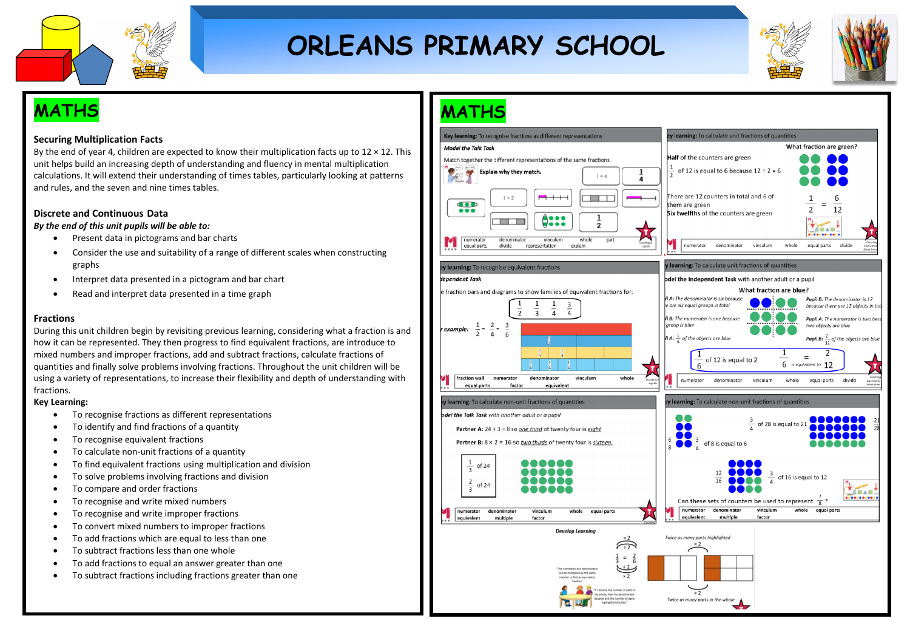

# **ORLEANS PRIMARY SCHOOL**



## **MATHS**

### **Securing Multiplication Facts**

By the end of year 4, children are expected to know their multiplication facts up to  $12 \times 12$ . This unit helps build an increasing depth of understanding and fluency in mental multiplication calculations. It will extend their understanding of times tables, particularly looking at patterns and rules, and the seven and nine times tables.

### **Discrete and Continuous Data**

*By the end of this unit pupils will be able to:* 

- Present data in pictograms and bar charts
- Consider the use and suitability of a range of different scales when constructing graphs
- Interpret data presented in a pictogram and bar chart
- Read and interpret data presented in a time graph

### **Fractions**

During this unit children begin by revisiting previous learning, considering what a fraction is and how it can be represented. They then progress to find equivalent fractions, are introduce to mixed numbers and improper fractions, add and subtract fractions, calculate fractions of quantities and finally solve problems involving fractions. Throughout the unit children will be using a variety of representations, to increase their flexibility and depth of understanding with fractions.

### **Key Learning:**

- To recognise fractions as different representations
- To identify and find fractions of a quantity
- To recognise equivalent fractions
- To calculate non-unit fractions of a quantity
- To find equivalent fractions using multiplication and division
- To solve problems involving fractions and division
- To compare and order fractions
- To recognise and write mixed numbers
- To recognise and write improper fractions
- To convert mixed numbers to improper fractions
- To add fractions which are equal to less than one
- To subtract fractions less than one whole
- To add fractions to equal an answer greater than one
- To subtract fractions including fractions greater than one